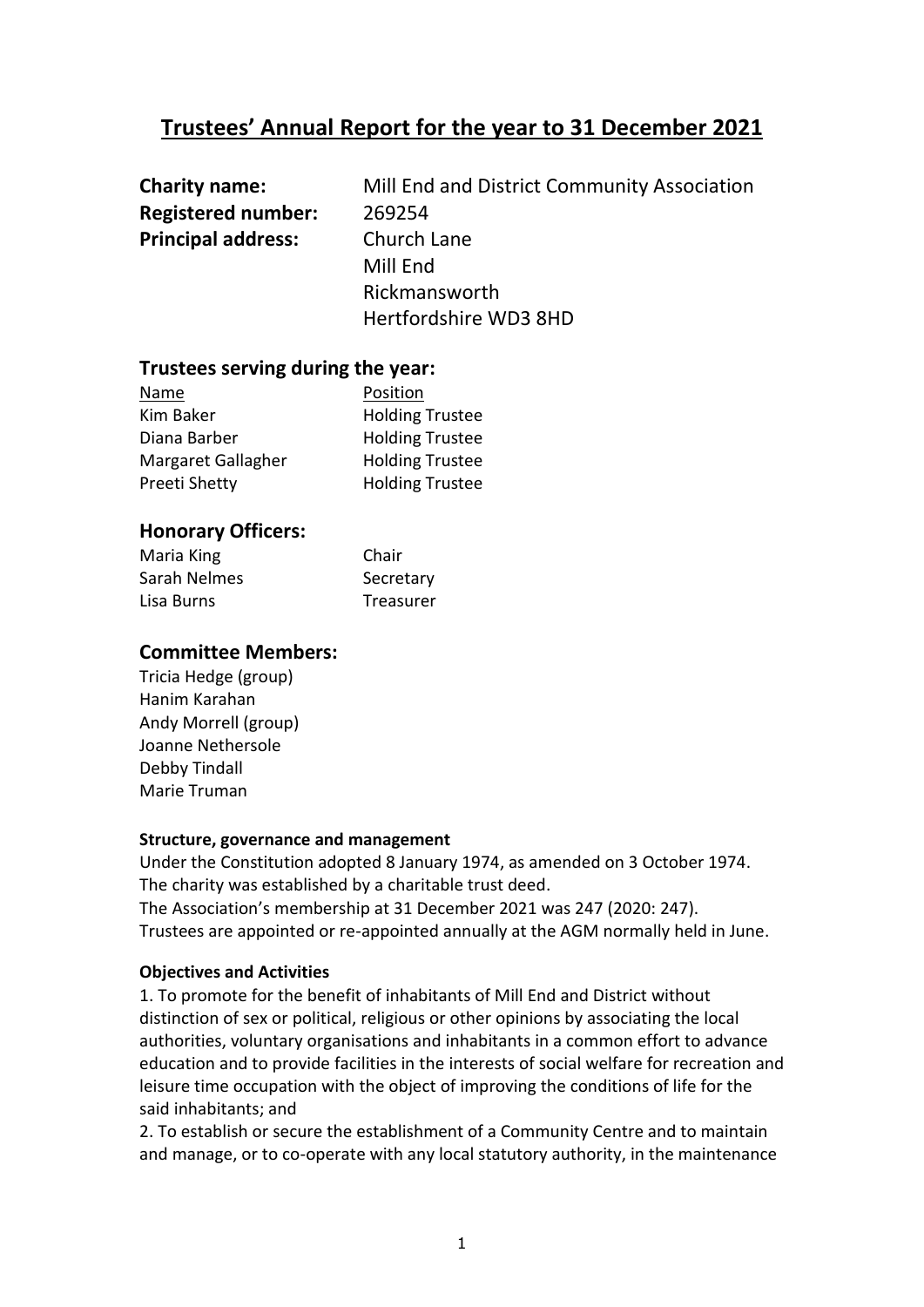# **Trustees' Annual Report for the year to 31 December 2021**

| <b>Charity name:</b>      | Mill End and District Community Association |
|---------------------------|---------------------------------------------|
| <b>Registered number:</b> | 269254                                      |
| <b>Principal address:</b> | Church Lane                                 |
|                           | Mill End                                    |
|                           | Rickmansworth                               |
|                           | Hertfordshire WD3 8HD                       |

## **Trustees serving during the year:**

| Name               | Position               |
|--------------------|------------------------|
| Kim Baker          | <b>Holding Trustee</b> |
| Diana Barber       | <b>Holding Trustee</b> |
| Margaret Gallagher | <b>Holding Trustee</b> |
| Preeti Shetty      | <b>Holding Trustee</b> |

# **Honorary Officers:**

| Maria King   | Chair     |
|--------------|-----------|
| Sarah Nelmes | Secretary |
| Lisa Burns   | Treasurer |

## **Committee Members:**

Tricia Hedge (group) Hanim Karahan Andy Morrell (group) Joanne Nethersole Debby Tindall Marie Truman

#### **Structure, governance and management**

Under the Constitution adopted 8 January 1974, as amended on 3 October 1974. The charity was established by a charitable trust deed. The Association's membership at 31 December 2021 was 247 (2020: 247). Trustees are appointed or re-appointed annually at the AGM normally held in June.

#### **Objectives and Activities**

1. To promote for the benefit of inhabitants of Mill End and District without distinction of sex or political, religious or other opinions by associating the local authorities, voluntary organisations and inhabitants in a common effort to advance education and to provide facilities in the interests of social welfare for recreation and leisure time occupation with the object of improving the conditions of life for the said inhabitants; and

2. To establish or secure the establishment of a Community Centre and to maintain and manage, or to co-operate with any local statutory authority, in the maintenance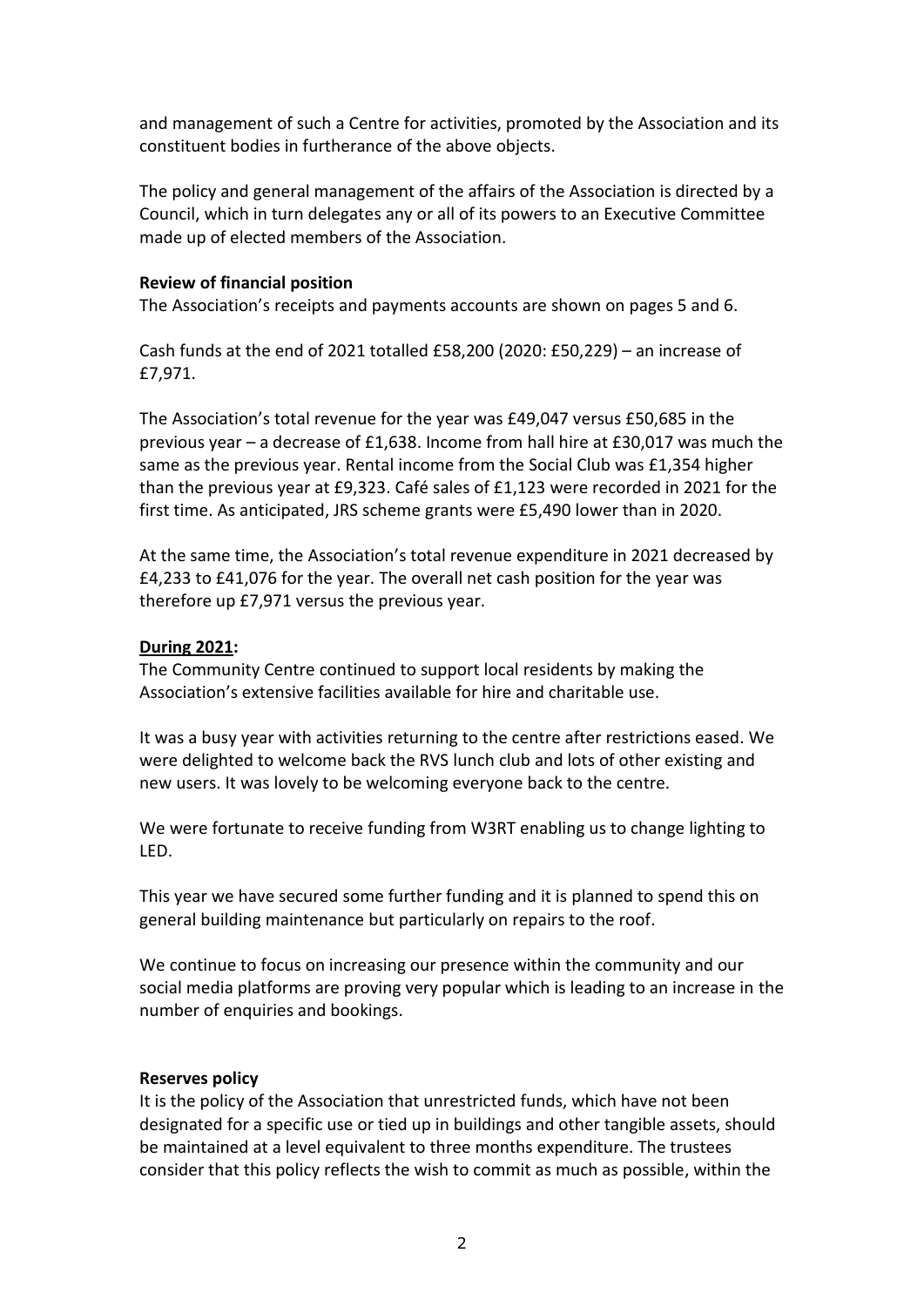and management of such a Centre for activities, promoted by the Association and its constituent bodies in furtherance of the above objects.

The policy and general management of the affairs of the Association is directed by a Council, which in turn delegates any or all of its powers to an Executive Committee made up of elected members of the Association.

## **Review of financial position**

The Association's receipts and payments accounts are shown on pages 5 and 6.

Cash funds at the end of 2021 totalled £58,200 (2020: £50,229) – an increase of £7,971.

The Association's total revenue for the year was £49,047 versus £50,685 in the previous year – a decrease of £1,638. Income from hall hire at £30,017 was much the same as the previous year. Rental income from the Social Club was £1,354 higher than the previous year at £9,323. Café sales of £1,123 were recorded in 2021 for the first time. As anticipated, JRS scheme grants were £5,490 lower than in 2020.

At the same time, the Association's total revenue expenditure in 2021 decreased by £4,233 to £41,076 for the year. The overall net cash position for the year was therefore up £7,971 versus the previous year.

## **During 2021:**

The Community Centre continued to support local residents by making the Association's extensive facilities available for hire and charitable use.

It was a busy year with activities returning to the centre after restrictions eased. We were delighted to welcome back the RVS lunch club and lots of other existing and new users. It was lovely to be welcoming everyone back to the centre.

We were fortunate to receive funding from W3RT enabling us to change lighting to LED.

This year we have secured some further funding and it is planned to spend this on general building maintenance but particularly on repairs to the roof.

We continue to focus on increasing our presence within the community and our social media platforms are proving very popular which is leading to an increase in the number of enquiries and bookings.

## **Reserves policy**

It is the policy of the Association that unrestricted funds, which have not been designated for a specific use or tied up in buildings and other tangible assets, should be maintained at a level equivalent to three months expenditure. The trustees consider that this policy reflects the wish to commit as much as possible, within the